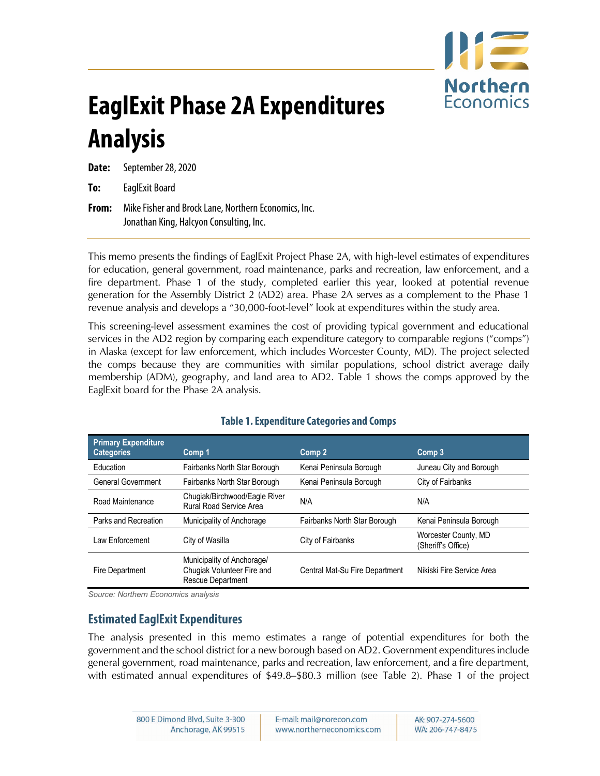

# **EaglExit Phase 2A Expenditures Analysis**

**Date:** September 28, 2020

**To:** EaglExit Board

**From:** Mike Fisher and Brock Lane, Northern Economics, Inc. Jonathan King, Halcyon Consulting, Inc.

This memo presents the findings of EaglExit Project Phase 2A, with high-level estimates of expenditures for education, general government, road maintenance, parks and recreation, law enforcement, and a fire department. Phase 1 of the study, completed earlier this year, looked at potential revenue generation for the Assembly District 2 (AD2) area. Phase 2A serves as a complement to the Phase 1 revenue analysis and develops a "30,000-foot-level" look at expenditures within the study area.

This screening-level assessment examines the cost of providing typical government and educational services in the AD2 region by comparing each expenditure category to comparable regions ("comps") in Alaska (except for law enforcement, which includes Worcester County, MD). The project selected the comps because they are communities with similar populations, school district average daily membership (ADM), geography, and land area to AD2. [Table 1](#page-0-0) shows the comps approved by the EaglExit board for the Phase 2A analysis.

<span id="page-0-0"></span>

| <b>Primary Expenditure</b><br><b>Categories</b> | Comp 1                                                                               | Comp 2                         | Comp 3                                     |
|-------------------------------------------------|--------------------------------------------------------------------------------------|--------------------------------|--------------------------------------------|
| Education                                       | Fairbanks North Star Borough                                                         | Kenai Peninsula Borough        | Juneau City and Borough                    |
| <b>General Government</b>                       | Fairbanks North Star Borough                                                         | Kenai Peninsula Borough        | City of Fairbanks                          |
| Road Maintenance                                | Chugiak/Birchwood/Eagle River<br>Rural Road Service Area                             | N/A                            | N/A                                        |
| Parks and Recreation                            | Municipality of Anchorage                                                            | Fairbanks North Star Borough   | Kenai Peninsula Borough                    |
| I aw Fnforcement                                | City of Wasilla                                                                      | City of Fairbanks              | Worcester County, MD<br>(Sheriff's Office) |
| Fire Department                                 | Municipality of Anchorage/<br>Chugiak Volunteer Fire and<br><b>Rescue Department</b> | Central Mat-Su Fire Department | Nikiski Fire Service Area                  |

## **Table 1. Expenditure Categories and Comps**

*Source: Northern Economics analysis*

# **Estimated EaglExit Expenditures**

The analysis presented in this memo estimates a range of potential expenditures for both the government and the school district for a new borough based on AD2. Government expenditures include general government, road maintenance, parks and recreation, law enforcement, and a fire department, with estimated annual expenditures of \$49.8–\$80.3 million (see [Table 2\)](#page-1-0). Phase 1 of the project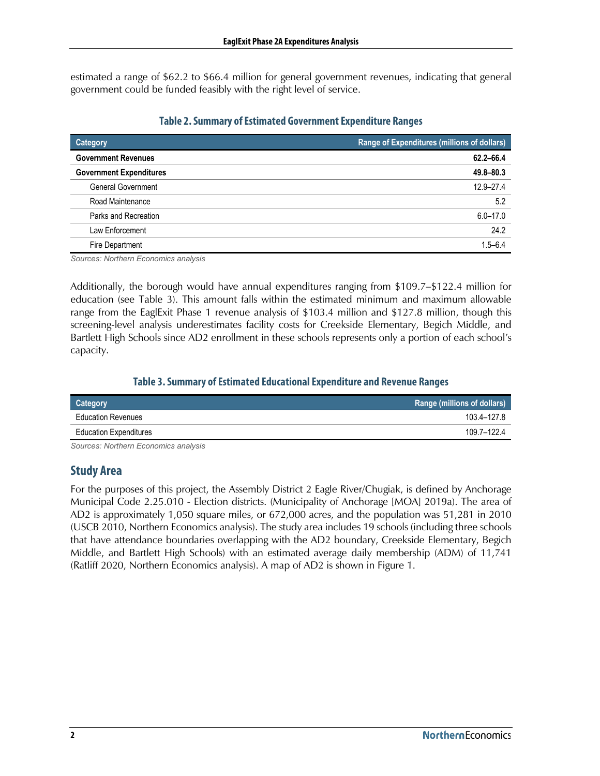estimated a range of \$62.2 to \$66.4 million for general government revenues, indicating that general government could be funded feasibly with the right level of service.

<span id="page-1-0"></span>

| <b>Category</b>                | Range of Expenditures (millions of dollars) |
|--------------------------------|---------------------------------------------|
| <b>Government Revenues</b>     | 62.2-66.4                                   |
| <b>Government Expenditures</b> | 49.8-80.3                                   |
| <b>General Government</b>      | $12.9 - 27.4$                               |
| Road Maintenance               | 5.2                                         |
| Parks and Recreation           | $6.0 - 17.0$                                |
| Law Enforcement                | 24.2                                        |
| Fire Department                | $1.5 - 6.4$                                 |

#### **Table 2. Summary of Estimated Government Expenditure Ranges**

*Sources: Northern Economics analysis*

Additionally, the borough would have annual expenditures ranging from \$109.7–\$122.4 million for education (see [Table 3\)](#page-1-1). This amount falls within the estimated minimum and maximum allowable range from the EaglExit Phase 1 revenue analysis of \$103.4 million and \$127.8 million, though this screening-level analysis underestimates facility costs for Creekside Elementary, Begich Middle, and Bartlett High Schools since AD2 enrollment in these schools represents only a portion of each school's capacity.

## **Table 3. Summary of Estimated Educational Expenditure and Revenue Ranges**

<span id="page-1-1"></span>

| Category                      | Range (millions of dollars) |
|-------------------------------|-----------------------------|
| <b>Education Revenues</b>     | 103.4–127.8                 |
| <b>Education Expenditures</b> | 109.7-122.4                 |

*Sources: Northern Economics analysis*

# **Study Area**

For the purposes of this project, the Assembly District 2 Eagle River/Chugiak, is defined by Anchorage Municipal Code 2.25.010 - Election districts. (Municipality of Anchorage [MOA] 2019a). The area of AD2 is approximately 1,050 square miles, or 672,000 acres, and the population was 51,281 in 2010 (USCB 2010, Northern Economics analysis). The study area includes 19 schools (including three schools that have attendance boundaries overlapping with the AD2 boundary, Creekside Elementary, Begich Middle, and Bartlett High Schools) with an estimated average daily membership (ADM) of 11,741 (Ratliff 2020, Northern Economics analysis). A map of AD2 is shown in [Figure 1.](#page-2-0)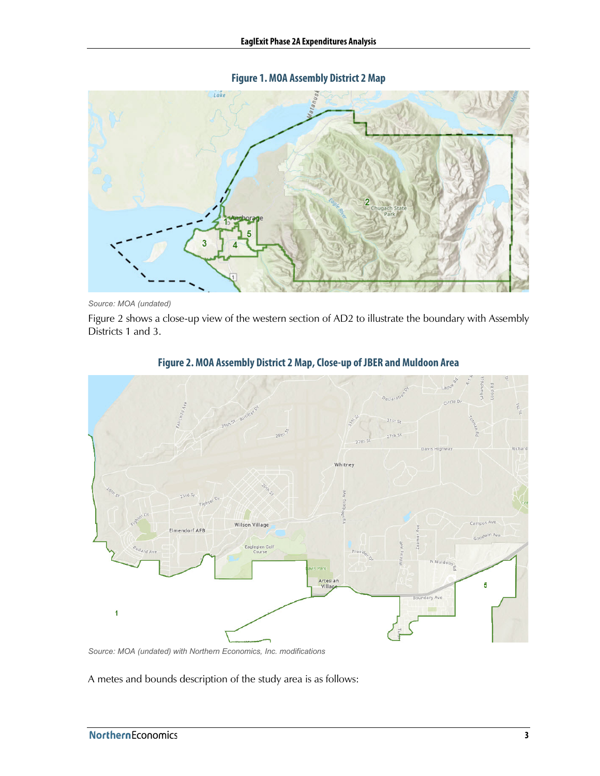**Figure 1. MOA Assembly District 2 Map**

<span id="page-2-0"></span>

*Source: MOA (undated)*

<span id="page-2-1"></span>[Figure 2](#page-2-1) shows a close-up view of the western section of AD2 to illustrate the boundary with Assembly Districts 1 and 3.



#### **Figure 2.MOA Assembly District 2 Map, Close-up of JBER and Muldoon Area**

*Source: MOA (undated) with Northern Economics, Inc. modifications*

A metes and bounds description of the study area is as follows: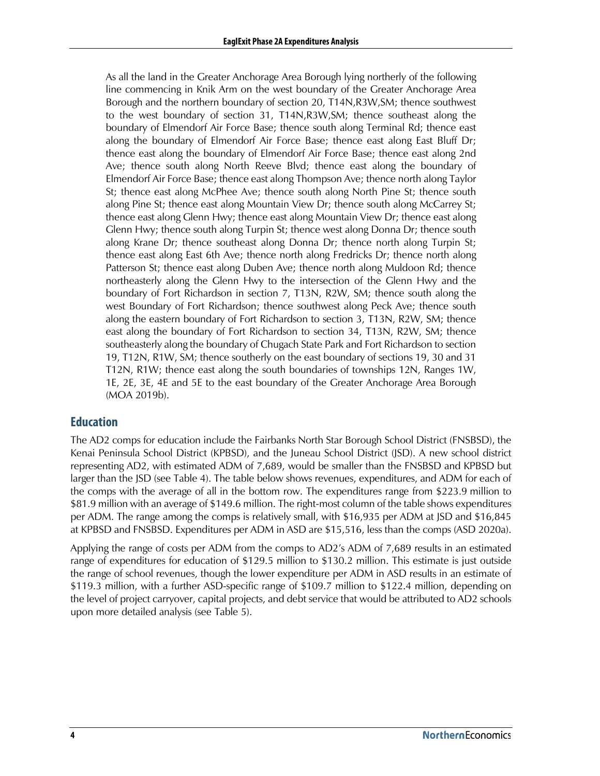As all the land in the Greater Anchorage Area Borough lying northerly of the following line commencing in Knik Arm on the west boundary of the Greater Anchorage Area Borough and the northern boundary of section 20, T14N,R3W,SM; thence southwest to the west boundary of section 31, T14N,R3W,SM; thence southeast along the boundary of Elmendorf Air Force Base; thence south along Terminal Rd; thence east along the boundary of Elmendorf Air Force Base; thence east along East Bluff Dr; thence east along the boundary of Elmendorf Air Force Base; thence east along 2nd Ave; thence south along North Reeve Blvd; thence east along the boundary of Elmendorf Air Force Base; thence east along Thompson Ave; thence north along Taylor St; thence east along McPhee Ave; thence south along North Pine St; thence south along Pine St; thence east along Mountain View Dr; thence south along McCarrey St; thence east along Glenn Hwy; thence east along Mountain View Dr; thence east along Glenn Hwy; thence south along Turpin St; thence west along Donna Dr; thence south along Krane Dr; thence southeast along Donna Dr; thence north along Turpin St; thence east along East 6th Ave; thence north along Fredricks Dr; thence north along Patterson St; thence east along Duben Ave; thence north along Muldoon Rd; thence northeasterly along the Glenn Hwy to the intersection of the Glenn Hwy and the boundary of Fort Richardson in section 7, T13N, R2W, SM; thence south along the west Boundary of Fort Richardson; thence southwest along Peck Ave; thence south along the eastern boundary of Fort Richardson to section 3, T13N, R2W, SM; thence east along the boundary of Fort Richardson to section 34, T13N, R2W, SM; thence southeasterly along the boundary of Chugach State Park and Fort Richardson to section 19, T12N, R1W, SM; thence southerly on the east boundary of sections 19, 30 and 31 T12N, R1W; thence east along the south boundaries of townships 12N, Ranges 1W, 1E, 2E, 3E, 4E and 5E to the east boundary of the Greater Anchorage Area Borough (MOA 2019b).

# **Education**

The AD2 comps for education include the Fairbanks North Star Borough School District (FNSBSD), the Kenai Peninsula School District (KPBSD), and the Juneau School District (JSD). A new school district representing AD2, with estimated ADM of 7,689, would be smaller than the FNSBSD and KPBSD but larger than the JSD (see [Table 4\)](#page-4-0). The table below shows revenues, expenditures, and ADM for each of the comps with the average of all in the bottom row. The expenditures range from \$223.9 million to \$81.9 million with an average of \$149.6 million. The right-most column of the table shows expenditures per ADM. The range among the comps is relatively small, with \$16,935 per ADM at JSD and \$16,845 at KPBSD and FNSBSD. Expenditures per ADM in ASD are \$15,516, less than the comps (ASD 2020a).

Applying the range of costs per ADM from the comps to AD2's ADM of 7,689 results in an estimated range of expenditures for education of \$129.5 million to \$130.2 million. This estimate is just outside the range of school revenues, though the lower expenditure per ADM in ASD results in an estimate of \$119.3 million, with a further ASD-specific range of \$109.7 million to \$122.4 million, depending on the level of project carryover, capital projects, and debt service that would be attributed to AD2 schools upon more detailed analysis (see [Table 5\)](#page-4-1).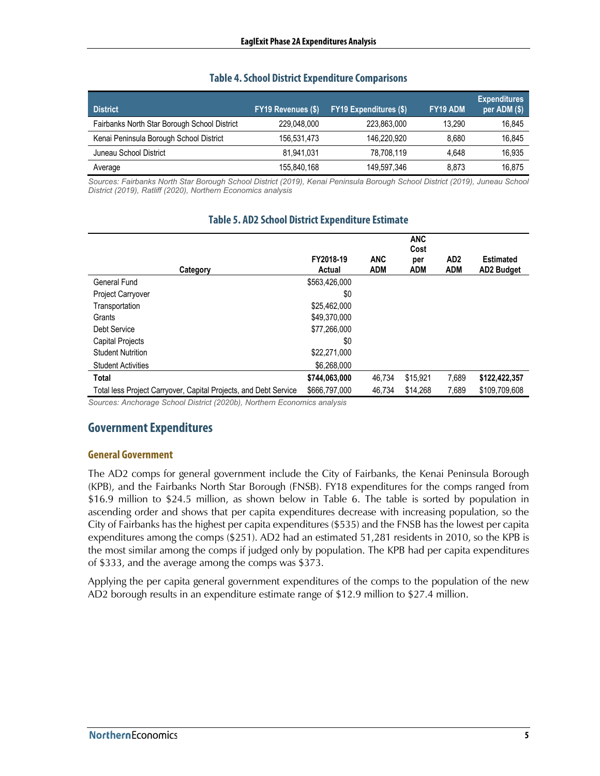#### **Table 4. School District Expenditure Comparisons**

<span id="page-4-0"></span>

| <b>District</b>                              | FY19 Revenues (\$) | <b>FY19 Expenditures (\$)</b> | FY19 ADM | <b>Expenditures</b><br>per ADM (\$) |
|----------------------------------------------|--------------------|-------------------------------|----------|-------------------------------------|
| Fairbanks North Star Borough School District | 229,048,000        | 223,863,000                   | 13.290   | 16,845                              |
| Kenai Peninsula Borough School District      | 156.531.473        | 146.220.920                   | 8.680    | 16,845                              |
| Juneau School District                       | 81.941.031         | 78.708.119                    | 4.648    | 16,935                              |
| Average                                      | 155,840,168        | 149,597,346                   | 8.873    | 16.875                              |

<span id="page-4-1"></span>*Sources: Fairbanks North Star Borough School District (2019), Kenai Peninsula Borough School District (2019), Juneau School District (2019), Ratliff (2020), Northern Economics analysis*

|                                                                  |                     |                          | <b>ANC</b><br>Cost |                               |                                       |
|------------------------------------------------------------------|---------------------|--------------------------|--------------------|-------------------------------|---------------------------------------|
| Category                                                         | FY2018-19<br>Actual | <b>ANC</b><br><b>ADM</b> | per<br>ADM         | AD <sub>2</sub><br><b>ADM</b> | <b>Estimated</b><br><b>AD2 Budget</b> |
| General Fund                                                     | \$563,426,000       |                          |                    |                               |                                       |
| Project Carryover                                                | \$0                 |                          |                    |                               |                                       |
| Transportation                                                   | \$25,462,000        |                          |                    |                               |                                       |
| Grants                                                           | \$49,370,000        |                          |                    |                               |                                       |
| Debt Service                                                     | \$77,266,000        |                          |                    |                               |                                       |
| Capital Projects                                                 | \$0                 |                          |                    |                               |                                       |
| <b>Student Nutrition</b>                                         | \$22,271,000        |                          |                    |                               |                                       |
| <b>Student Activities</b>                                        | \$6,268,000         |                          |                    |                               |                                       |
| <b>Total</b>                                                     | \$744,063,000       | 46,734                   | \$15,921           | 7,689                         | \$122,422,357                         |
| Total less Project Carryover, Capital Projects, and Debt Service | \$666.797.000       | 46.734                   | \$14,268           | 7.689                         | \$109.709.608                         |

#### **Table 5. AD2 School District Expenditure Estimate**

*Sources: Anchorage School District (2020b), Northern Economics analysis*

# **GovernmentExpenditures**

#### **General Government**

The AD2 comps for general government include the City of Fairbanks, the Kenai Peninsula Borough (KPB), and the Fairbanks North Star Borough (FNSB). FY18 expenditures for the comps ranged from \$16.9 million to \$24.5 million, as shown below in [Table 6.](#page-5-0) The table is sorted by population in ascending order and shows that per capita expenditures decrease with increasing population, so the City of Fairbanks has the highest per capita expenditures (\$535) and the FNSB has the lowest per capita expenditures among the comps (\$251). AD2 had an estimated 51,281 residents in 2010, so the KPB is the most similar among the comps if judged only by population. The KPB had per capita expenditures of \$333, and the average among the comps was \$373.

Applying the per capita general government expenditures of the comps to the population of the new AD2 borough results in an expenditure estimate range of \$12.9 million to \$27.4 million.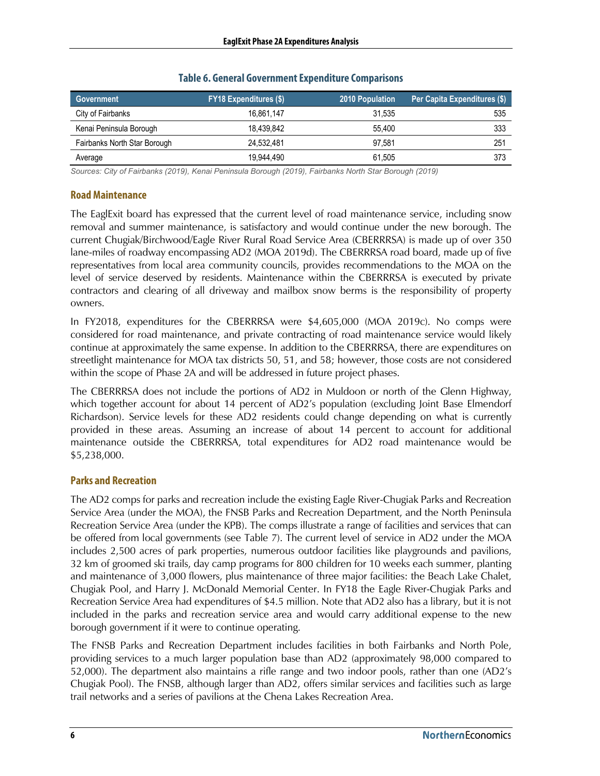<span id="page-5-0"></span>

| Government                   | <b>FY18 Expenditures (\$)</b> | <b>2010 Population</b> | Per Capita Expenditures (\$) |
|------------------------------|-------------------------------|------------------------|------------------------------|
| City of Fairbanks            | 16.861.147                    | 31.535                 | 535                          |
| Kenai Peninsula Borough      | 18.439.842                    | 55.400                 | 333                          |
| Fairbanks North Star Borough | 24.532.481                    | 97.581                 | 251                          |
| Average                      | 19.944.490                    | 61.505                 | 373                          |

#### **Table 6. General Government Expenditure Comparisons**

*Sources: City of Fairbanks (2019), Kenai Peninsula Borough (2019), Fairbanks North Star Borough (2019)*

#### **Road Maintenance**

The EaglExit board has expressed that the current level of road maintenance service, including snow removal and summer maintenance, is satisfactory and would continue under the new borough. The current Chugiak/Birchwood/Eagle River Rural Road Service Area (CBERRRSA) is made up of over 350 lane-miles of roadway encompassing AD2 (MOA 2019d). The CBERRRSA road board, made up of five representatives from local area community councils, provides recommendations to the MOA on the level of service deserved by residents. Maintenance within the CBERRRSA is executed by private contractors and clearing of all driveway and mailbox snow berms is the responsibility of property owners.

In FY2018, expenditures for the CBERRRSA were \$4,605,000 (MOA 2019c). No comps were considered for road maintenance, and private contracting of road maintenance service would likely continue at approximately the same expense. In addition to the CBERRRSA, there are expenditures on streetlight maintenance for MOA tax districts 50, 51, and 58; however, those costs are not considered within the scope of Phase 2A and will be addressed in future project phases.

The CBERRRSA does not include the portions of AD2 in Muldoon or north of the Glenn Highway, which together account for about 14 percent of AD2's population (excluding Joint Base Elmendorf Richardson). Service levels for these AD2 residents could change depending on what is currently provided in these areas. Assuming an increase of about 14 percent to account for additional maintenance outside the CBERRRSA, total expenditures for AD2 road maintenance would be \$5,238,000.

#### **Parks and Recreation**

The AD2 comps for parks and recreation include the existing Eagle River-Chugiak Parks and Recreation Service Area (under the MOA), the FNSB Parks and Recreation Department, and the North Peninsula Recreation Service Area (under the KPB). The comps illustrate a range of facilities and services that can be offered from local governments (see [Table 7\)](#page-6-0). The current level of service in AD2 under the MOA includes 2,500 acres of park properties, numerous outdoor facilities like playgrounds and pavilions, 32 km of groomed ski trails, day camp programs for 800 children for 10 weeks each summer, planting and maintenance of 3,000 flowers, plus maintenance of three major facilities: the Beach Lake Chalet, Chugiak Pool, and Harry J. McDonald Memorial Center. In FY18 the Eagle River-Chugiak Parks and Recreation Service Area had expenditures of \$4.5 million. Note that AD2 also has a library, but it is not included in the parks and recreation service area and would carry additional expense to the new borough government if it were to continue operating.

The FNSB Parks and Recreation Department includes facilities in both Fairbanks and North Pole, providing services to a much larger population base than AD2 (approximately 98,000 compared to 52,000). The department also maintains a rifle range and two indoor pools, rather than one (AD2's Chugiak Pool). The FNSB, although larger than AD2, offers similar services and facilities such as large trail networks and a series of pavilions at the Chena Lakes Recreation Area.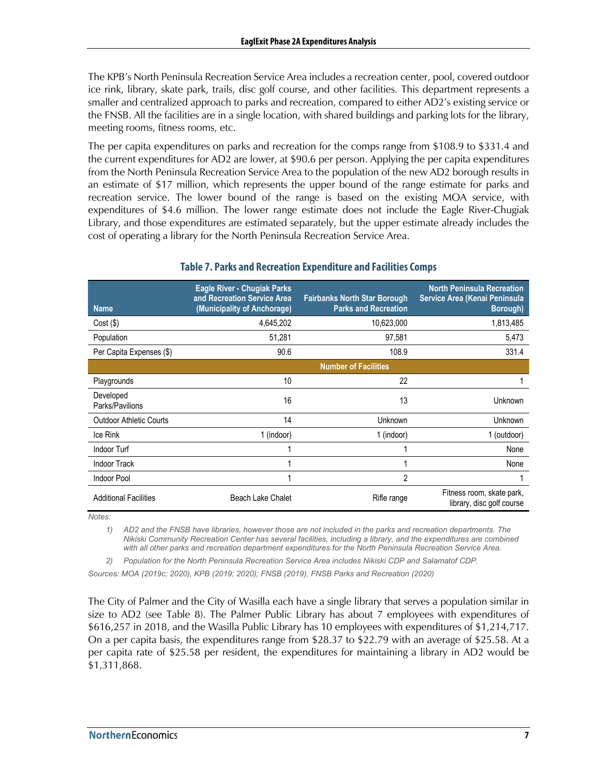The KPB's North Peninsula Recreation Service Area includes a recreation center, pool, covered outdoor ice rink, library, skate park, trails, disc golf course, and other facilities. This department represents a smaller and centralized approach to parks and recreation, compared to either AD2's existing service or the FNSB. All the facilities are in a single location, with shared buildings and parking lots for the library, meeting rooms, fitness rooms, etc.

The per capita expenditures on parks and recreation for the comps range from \$108.9 to \$331.4 and the current expenditures for AD2 are lower, at \$90.6 per person. Applying the per capita expenditures from the North Peninsula Recreation Service Area to the population of the new AD2 borough results in an estimate of \$17 million, which represents the upper bound of the range estimate for parks and recreation service. The lower bound of the range is based on the existing MOA service, with expenditures of \$4.6 million. The lower range estimate does not include the Eagle River-Chugiak Library, and those expenditures are estimated separately, but the upper estimate already includes the cost of operating a library for the North Peninsula Recreation Service Area.

<span id="page-6-0"></span>

| <b>Name</b>                    | <b>Eagle River - Chugiak Parks</b><br>and Recreation Service Area<br>(Municipality of Anchorage) | <b>Fairbanks North Star Borough</b><br><b>Parks and Recreation</b> | <b>North Peninsula Recreation</b><br>Service Area (Kenai Peninsula<br><b>Borough</b> ) |
|--------------------------------|--------------------------------------------------------------------------------------------------|--------------------------------------------------------------------|----------------------------------------------------------------------------------------|
| Cost(S)                        | 4,645,202                                                                                        | 10,623,000                                                         | 1,813,485                                                                              |
| Population                     | 51,281                                                                                           | 97,581                                                             | 5,473                                                                                  |
| Per Capita Expenses (\$)       | 90.6                                                                                             | 108.9                                                              | 331.4                                                                                  |
|                                |                                                                                                  | <b>Number of Facilities</b>                                        |                                                                                        |
| Playgrounds                    | 10                                                                                               | 22                                                                 |                                                                                        |
| Developed<br>Parks/Pavilions   | 16                                                                                               | 13                                                                 | Unknown                                                                                |
| <b>Outdoor Athletic Courts</b> | 14                                                                                               | Unknown                                                            | Unknown                                                                                |
| Ice Rink                       | 1 (indoor)                                                                                       | 1 (indoor)                                                         | 1 (outdoor)                                                                            |
| Indoor Turf                    |                                                                                                  |                                                                    | None                                                                                   |
| <b>Indoor Track</b>            |                                                                                                  |                                                                    | None                                                                                   |
| <b>Indoor Pool</b>             |                                                                                                  | 2                                                                  |                                                                                        |
| <b>Additional Facilities</b>   | <b>Beach Lake Chalet</b>                                                                         | Rifle range                                                        | Fitness room, skate park,<br>library, disc golf course                                 |

#### **Table 7. Parks and Recreation Expenditure and Facilities Comps**

*Notes:* 

*1) AD2 and the FNSB have libraries, however those are not included in the parks and recreation departments. The Nikiski Community Recreation Center has several facilities, including a library, and the expenditures are combined with all other parks and recreation department expenditures for the North Peninsula Recreation Service Area.*

*2) Population for the North Peninsula Recreation Service Area includes Nikiski CDP and Salamatof CDP.*

*Sources: MOA (2019c; 2020), KPB (2019; 2020); FNSB (2019), FNSB Parks and Recreation (2020)*

The City of Palmer and the City of Wasilla each have a single library that serves a population similar in size to AD2 (see [Table 8\)](#page-7-0). The Palmer Public Library has about 7 employees with expenditures of \$616,257 in 2018, and the Wasilla Public Library has 10 employees with expenditures of \$1,214,717. On a per capita basis, the expenditures range from \$28.37 to \$22.79 with an average of \$25.58. At a per capita rate of \$25.58 per resident, the expenditures for maintaining a library in AD2 would be \$1,311,868.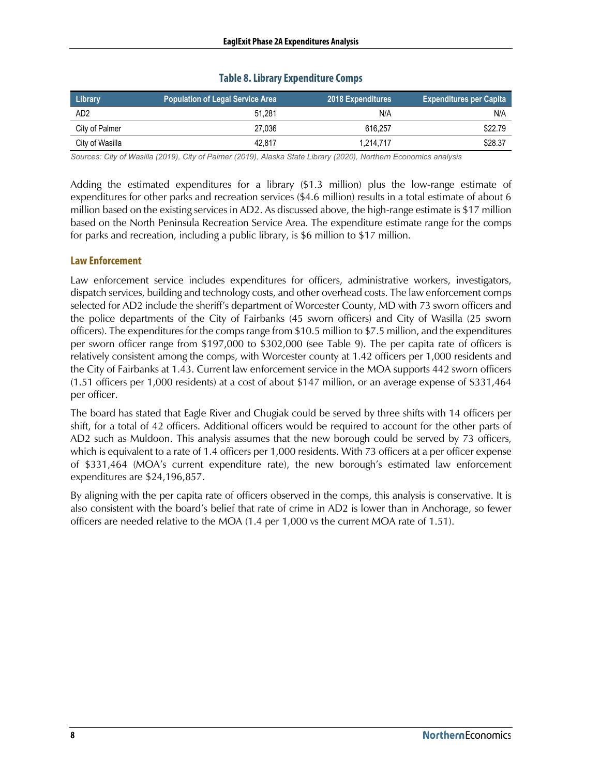#### **Table 8. Library Expenditure Comps**

<span id="page-7-0"></span>

| Library         | Population of Legal Service Area 1 | <b>2018 Expenditures</b> | <b>Expenditures per Capita</b> |
|-----------------|------------------------------------|--------------------------|--------------------------------|
| AD <sub>2</sub> | 51.281                             | N/A                      | N/A                            |
| City of Palmer  | 27.036                             | 616.257                  | \$22.79                        |
| City of Wasilla | 42.817                             | 1.214.717                | \$28.37                        |

*Sources: City of Wasilla (2019), City of Palmer (2019), Alaska State Library (2020), Northern Economics analysis*

Adding the estimated expenditures for a library (\$1.3 million) plus the low-range estimate of expenditures for other parks and recreation services (\$4.6 million) results in a total estimate of about 6 million based on the existing services in AD2. As discussed above, the high-range estimate is \$17 million based on the North Peninsula Recreation Service Area. The expenditure estimate range for the comps for parks and recreation, including a public library, is \$6 million to \$17 million.

#### **Law Enforcement**

Law enforcement service includes expenditures for officers, administrative workers, investigators, dispatch services, building and technology costs, and other overhead costs. The law enforcement comps selected for AD2 include the sheriff's department of Worcester County, MD with 73 sworn officers and the police departments of the City of Fairbanks (45 sworn officers) and City of Wasilla (25 sworn officers). The expenditures for the comps range from \$10.5 million to \$7.5 million, and the expenditures per sworn officer range from \$197,000 to \$302,000 (see [Table 9\)](#page-8-0). The per capita rate of officers is relatively consistent among the comps, with Worcester county at 1.42 officers per 1,000 residents and the City of Fairbanks at 1.43. Current law enforcement service in the MOA supports 442 sworn officers (1.51 officers per 1,000 residents) at a cost of about \$147 million, or an average expense of \$331,464 per officer.

The board has stated that Eagle River and Chugiak could be served by three shifts with 14 officers per shift, for a total of 42 officers. Additional officers would be required to account for the other parts of AD2 such as Muldoon. This analysis assumes that the new borough could be served by 73 officers, which is equivalent to a rate of 1.4 officers per 1,000 residents. With 73 officers at a per officer expense of \$331,464 (MOA's current expenditure rate), the new borough's estimated law enforcement expenditures are \$24,196,857.

By aligning with the per capita rate of officers observed in the comps, this analysis is conservative. It is also consistent with the board's belief that rate of crime in AD2 is lower than in Anchorage, so fewer officers are needed relative to the MOA (1.4 per 1,000 vs the current MOA rate of 1.51).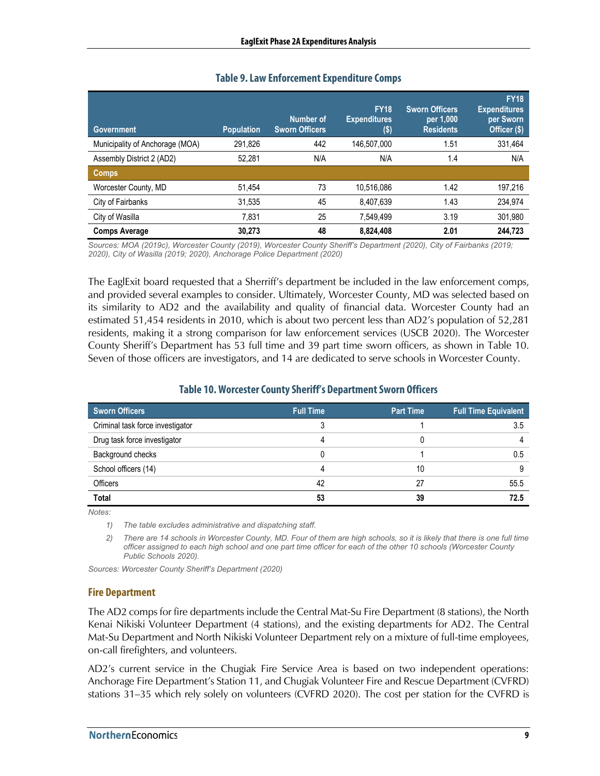<span id="page-8-0"></span>

| <b>Government</b>               | <b>Population</b> | Number of<br><b>Sworn Officers</b> | <b>FY18</b><br><b>Expenditures</b><br>$($ \$) | <b>Sworn Officers</b><br>per 1,000<br><b>Residents</b> | <b>FY18</b><br><b>Expenditures</b><br>per Sworn<br>Officer (\$) |
|---------------------------------|-------------------|------------------------------------|-----------------------------------------------|--------------------------------------------------------|-----------------------------------------------------------------|
| Municipality of Anchorage (MOA) | 291.826           | 442                                | 146,507,000                                   | 1.51                                                   | 331,464                                                         |
| Assembly District 2 (AD2)       | 52,281            | N/A                                | N/A                                           | 1.4                                                    | N/A                                                             |
| Comps                           |                   |                                    |                                               |                                                        |                                                                 |
| Worcester County, MD            | 51.454            | 73                                 | 10,516,086                                    | 1.42                                                   | 197,216                                                         |
| City of Fairbanks               | 31,535            | 45                                 | 8,407,639                                     | 1.43                                                   | 234,974                                                         |
| City of Wasilla                 | 7.831             | 25                                 | 7,549,499                                     | 3.19                                                   | 301,980                                                         |
| <b>Comps Average</b>            | 30.273            | 48                                 | 8,824,408                                     | 2.01                                                   | 244.723                                                         |

### **Table 9. Law Enforcement Expenditure Comps**

*Sources: MOA (2019c), Worcester County (2019), Worcester County Sheriff's Department (2020), City of Fairbanks (2019; 2020), City of Wasilla (2019; 2020), Anchorage Police Department (2020)*

The EaglExit board requested that a Sherriff's department be included in the law enforcement comps, and provided several examples to consider. Ultimately, Worcester County, MD was selected based on its similarity to AD2 and the availability and quality of financial data. Worcester County had an estimated 51,454 residents in 2010, which is about two percent less than AD2's population of 52,281 residents, making it a strong comparison for law enforcement services (USCB 2020). The Worcester County Sheriff's Department has 53 full time and 39 part time sworn officers, as shown in [Table 10.](#page-8-1) Seven of those officers are investigators, and 14 are dedicated to serve schools in Worcester County.

#### **Table 10. Worcester County Sheriff's Department Sworn Officers**

<span id="page-8-1"></span>

| <b>Sworn Officers</b>            | <b>Full Time</b> | <b>Part Time</b> | <b>Full Time Equivalent</b> |
|----------------------------------|------------------|------------------|-----------------------------|
| Criminal task force investigator |                  |                  | 3.5                         |
| Drug task force investigator     |                  |                  |                             |
| Background checks                |                  |                  | 0.5                         |
| School officers (14)             |                  | 10               |                             |
| Officers                         | 42               | 27               | 55.5                        |
| <b>Total</b>                     | 53               | 39               | 72.5                        |

*Notes:* 

*1) The table excludes administrative and dispatching staff.*

*2) There are 14 schools in Worcester County, MD. Four of them are high schools, so it is likely that there is one full time officer assigned to each high school and one part time officer for each of the other 10 schools (Worcester County Public Schools 2020).*

*Sources: Worcester County Sheriff's Department (2020)*

#### **Fire Department**

The AD2 comps for fire departments include the Central Mat-Su Fire Department (8 stations), the North Kenai Nikiski Volunteer Department (4 stations), and the existing departments for AD2. The Central Mat-Su Department and North Nikiski Volunteer Department rely on a mixture of full-time employees, on-call firefighters, and volunteers.

AD2's current service in the Chugiak Fire Service Area is based on two independent operations: Anchorage Fire Department's Station 11, and Chugiak Volunteer Fire and Rescue Department (CVFRD) stations 31–35 which rely solely on volunteers (CVFRD 2020). The cost per station for the CVFRD is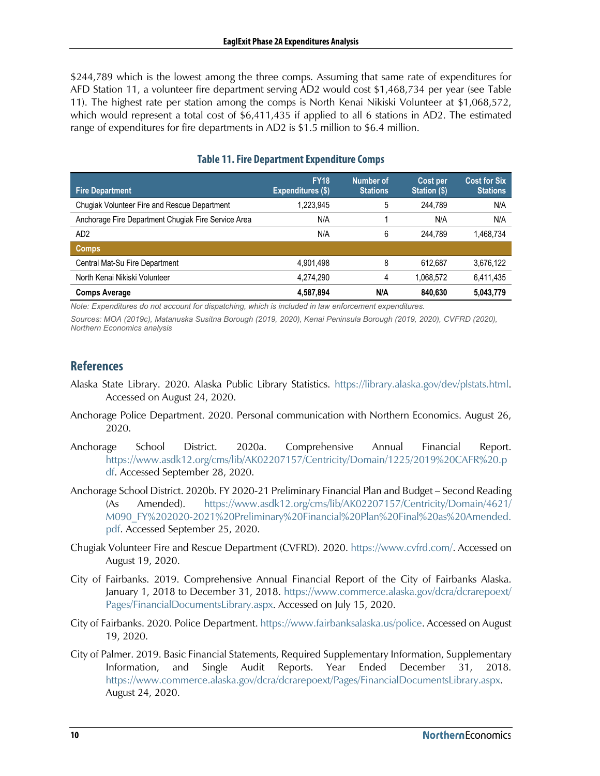\$244,789 which is the lowest among the three comps. Assuming that same rate of expenditures for AFD Station 11, a volunteer fire department serving AD2 would cost \$1,468,734 per year (see [Table](#page-9-0)  [11\)](#page-9-0). The highest rate per station among the comps is North Kenai Nikiski Volunteer at \$1,068,572, which would represent a total cost of \$6,411,435 if applied to all 6 stations in AD2. The estimated range of expenditures for fire departments in AD2 is \$1.5 million to \$6.4 million.

<span id="page-9-0"></span>

| <b>Fire Department</b>                              | <b>FY18</b><br><b>Expenditures (\$)</b> | Number of<br><b>Stations</b> | Cost per<br>Station (\$) | <b>Cost for Six</b><br><b>Stations</b> |
|-----------------------------------------------------|-----------------------------------------|------------------------------|--------------------------|----------------------------------------|
| Chugiak Volunteer Fire and Rescue Department        | 1,223,945                               | 5                            | 244.789                  | N/A                                    |
| Anchorage Fire Department Chugiak Fire Service Area | N/A                                     |                              | N/A                      | N/A                                    |
| AD <sub>2</sub>                                     | N/A                                     | 6                            | 244.789                  | 1,468,734                              |
| <b>Comps</b>                                        |                                         |                              |                          |                                        |
| Central Mat-Su Fire Department                      | 4,901,498                               | 8                            | 612.687                  | 3,676,122                              |
| North Kenai Nikiski Volunteer                       | 4.274.290                               | 4                            | 1,068,572                | 6,411,435                              |
| <b>Comps Average</b>                                | 4,587,894                               | N/A                          | 840.630                  | 5.043.779                              |

## **Table 11. Fire Department Expenditure Comps**

*Note: Expenditures do not account for dispatching, which is included in law enforcement expenditures.*

*Sources: MOA (2019c), Matanuska Susitna Borough (2019, 2020), Kenai Peninsula Borough (2019, 2020), CVFRD (2020), Northern Economics analysis*

# **References**

- Alaska State Library. 2020. Alaska Public Library Statistics. https://library.alaska.gov/dev/plstats.html. Accessed on August 24, 2020.
- Anchorage Police Department. 2020. Personal communication with Northern Economics. August 26, 2020.
- Anchorage School District. 2020a. Comprehensive Annual Financial Report. https://www.asdk12.org/cms/lib/AK02207157/Centricity/Domain/1225/2019%20CAFR%20.p df. Accessed September 28, 2020.
- Anchorage School District. 2020b. FY 2020-21 Preliminary Financial Plan and Budget Second Reading (As Amended). https://www.asdk12.org/cms/lib/AK02207157/Centricity/Domain/4621/ M090\_FY%202020-2021%20Preliminary%20Financial%20Plan%20Final%20as%20Amended. pdf. Accessed September 25, 2020.
- Chugiak Volunteer Fire and Rescue Department (CVFRD). 2020. https://www.cvfrd.com/. Accessed on August 19, 2020.
- City of Fairbanks. 2019. Comprehensive Annual Financial Report of the City of Fairbanks Alaska. January 1, 2018 to December 31, 2018. https://www.commerce.alaska.gov/dcra/dcrarepoext/ Pages/FinancialDocumentsLibrary.aspx. Accessed on July 15, 2020.
- City of Fairbanks. 2020. Police Department. https://www.fairbanksalaska.us/police. Accessed on August 19, 2020.
- City of Palmer. 2019. Basic Financial Statements, Required Supplementary Information, Supplementary Information, and Single Audit Reports. Year Ended December 31, 2018. https://www.commerce.alaska.gov/dcra/dcrarepoext/Pages/FinancialDocumentsLibrary.aspx. August 24, 2020.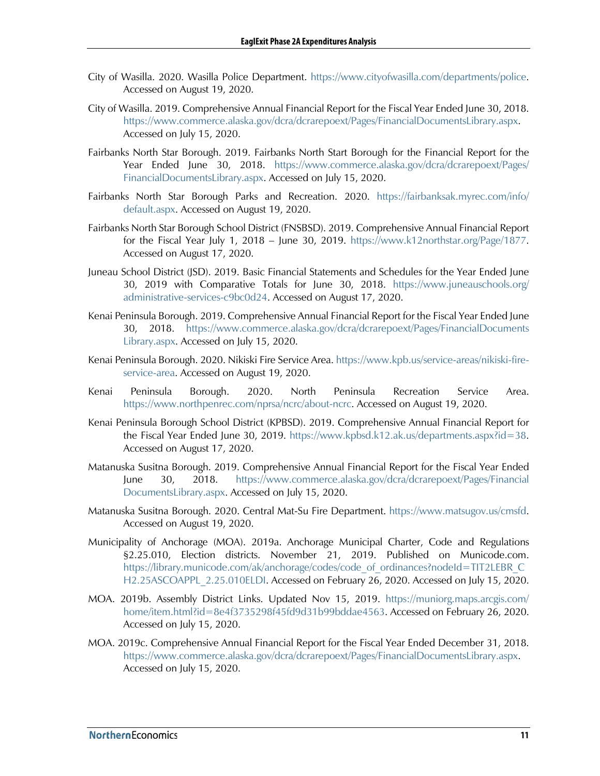- City of Wasilla. 2020. Wasilla Police Department. https://www.cityofwasilla.com/departments/police. Accessed on August 19, 2020.
- City of Wasilla. 2019. Comprehensive Annual Financial Report for the Fiscal Year Ended June 30, 2018. https://www.commerce.alaska.gov/dcra/dcrarepoext/Pages/FinancialDocumentsLibrary.aspx. Accessed on July 15, 2020.
- Fairbanks North Star Borough. 2019. Fairbanks North Start Borough for the Financial Report for the Year Ended June 30, 2018. https://www.commerce.alaska.gov/dcra/dcrarepoext/Pages/ FinancialDocumentsLibrary.aspx. Accessed on July 15, 2020.
- Fairbanks North Star Borough Parks and Recreation. 2020. https://fairbanksak.myrec.com/info/ default.aspx. Accessed on August 19, 2020.
- Fairbanks North Star Borough School District (FNSBSD). 2019. Comprehensive Annual Financial Report for the Fiscal Year July 1, 2018 – June 30, 2019. https://www.k12northstar.org/Page/1877. Accessed on August 17, 2020.
- Juneau School District (JSD). 2019. Basic Financial Statements and Schedules for the Year Ended June 30, 2019 with Comparative Totals for June 30, 2018. https://www.juneauschools.org/ administrative-services-c9bc0d24. Accessed on August 17, 2020.
- Kenai Peninsula Borough. 2019. Comprehensive Annual Financial Report for the Fiscal Year Ended June 30, 2018. https://www.commerce.alaska.gov/dcra/dcrarepoext/Pages/FinancialDocuments Library.aspx. Accessed on July 15, 2020.
- Kenai Peninsula Borough. 2020. Nikiski Fire Service Area. https://www.kpb.us/service-areas/nikiski-fireservice-area. Accessed on August 19, 2020.
- Kenai Peninsula Borough. 2020. North Peninsula Recreation Service Area. https://www.northpenrec.com/nprsa/ncrc/about-ncrc. Accessed on August 19, 2020.
- Kenai Peninsula Borough School District (KPBSD). 2019. Comprehensive Annual Financial Report for the Fiscal Year Ended June 30, 2019. https://www.kpbsd.k12.ak.us/departments.aspx?id=38. Accessed on August 17, 2020.
- Matanuska Susitna Borough. 2019. Comprehensive Annual Financial Report for the Fiscal Year Ended June 30, 2018. https://www.commerce.alaska.gov/dcra/dcrarepoext/Pages/Financial DocumentsLibrary.aspx. Accessed on July 15, 2020.
- Matanuska Susitna Borough. 2020. Central Mat-Su Fire Department. https://www.matsugov.us/cmsfd. Accessed on August 19, 2020.
- Municipality of Anchorage (MOA). 2019a. Anchorage Municipal Charter, Code and Regulations §2.25.010, Election districts. November 21, 2019. Published on Municode.com. https://library.municode.com/ak/anchorage/codes/code\_of\_ordinances?nodeId=TIT2LEBR\_C H2.25ASCOAPPL 2.25.010ELDI. Accessed on February 26, 2020. Accessed on July 15, 2020.
- MOA. 2019b. Assembly District Links. Updated Nov 15, 2019. https://muniorg.maps.arcgis.com/ home/item.html?id=8e4f3735298f45fd9d31b99bddae4563. Accessed on February 26, 2020. Accessed on July 15, 2020.
- MOA. 2019c. Comprehensive Annual Financial Report for the Fiscal Year Ended December 31, 2018. https://www.commerce.alaska.gov/dcra/dcrarepoext/Pages/FinancialDocumentsLibrary.aspx. Accessed on July 15, 2020.